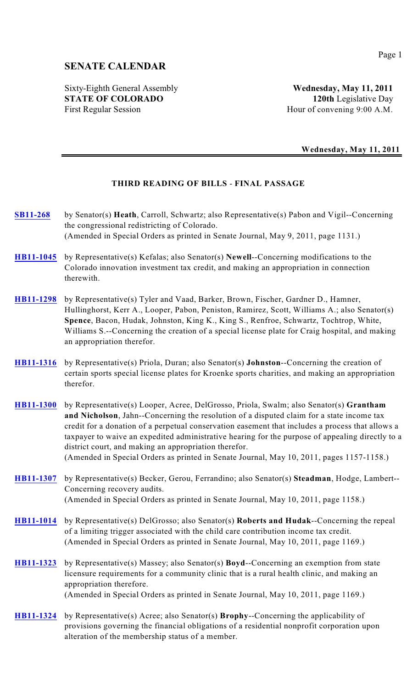# **SENATE CALENDAR**

Sixty-Eighth General Assembly **Wednesday, May 11, 2011 STATE OF COLORADO 120th** Legislative Day First Regular Session Hour of convening 9:00 A.M.

**Wednesday, May 11, 2011**

# **THIRD READING OF BILLS** - **FINAL PASSAGE**

- **[SB11-268](http://www.leg.state.co.us/CLICS/CLICS2011A/csl.nsf/fsbillcont3/A60BFC309387EC5387257877005EDE2C?Open&file=268_eng.pdf)** by Senator(s) **Heath**, Carroll, Schwartz; also Representative(s) Pabon and Vigil--Concerning the congressional redistricting of Colorado. (Amended in Special Orders as printed in Senate Journal, May 9, 2011, page 1131.)
- **[HB11-1045](http://www.leg.state.co.us/CLICS/CLICS2011A/csl.nsf/fsbillcont3/74A137CE1B2499C98725780100605780?Open&file=1045_rev.pdf)** by Representative(s) Kefalas; also Senator(s) **Newell**--Concerning modifications to the Colorado innovation investment tax credit, and making an appropriation in connection therewith.
- **[HB11-1298](http://www.leg.state.co.us/CLICS/CLICS2011A/csl.nsf/fsbillcont3/F44D10016AD475118725786A00535903?Open&file=1298_rev.pdf)** by Representative(s) Tyler and Vaad, Barker, Brown, Fischer, Gardner D., Hamner, Hullinghorst, Kerr A., Looper, Pabon, Peniston, Ramirez, Scott, Williams A.; also Senator(s) **Spence**, Bacon, Hudak, Johnston, King K., King S., Renfroe, Schwartz, Tochtrop, White, Williams S.--Concerning the creation of a special license plate for Craig hospital, and making an appropriation therefor.
- **[HB11-1316](http://www.leg.state.co.us/CLICS/CLICS2011A/csl.nsf/fsbillcont3/A402D107A51E0E648725787F005E2181?Open&file=1316_rev.pdf)** by Representative(s) Priola, Duran; also Senator(s) **Johnston**--Concerning the creation of certain sports special license plates for Kroenke sports charities, and making an appropriation therefor.

**[HB11-1300](http://www.leg.state.co.us/CLICS/CLICS2011A/csl.nsf/fsbillcont3/9F1068412B6128BF8725781600583E21?Open&file=1300_rev.pdf)** by Representative(s) Looper, Acree, DelGrosso, Priola, Swalm; also Senator(s) **Grantham and Nicholson**, Jahn--Concerning the resolution of a disputed claim for a state income tax credit for a donation of a perpetual conservation easement that includes a process that allows a taxpayer to waive an expedited administrative hearing for the purpose of appealing directly to a district court, and making an appropriation therefor. (Amended in Special Orders as printed in Senate Journal, May 10, 2011, pages 1157-1158.)

- **[HB11-1307](http://www.leg.state.co.us/CLICS/CLICS2011A/csl.nsf/fsbillcont3/2577D18A81ECC9588725785E0072987E?Open&file=1307_rev.pdf)** by Representative(s) Becker, Gerou, Ferrandino; also Senator(s) **Steadman**, Hodge, Lambert-- Concerning recovery audits. (Amended in Special Orders as printed in Senate Journal, May 10, 2011, page 1158.)
- **[HB11-1014](http://www.leg.state.co.us/CLICS/CLICS2011A/csl.nsf/fsbillcont3/FF4AB5D15F3CC72887257801006053C3?Open&file=1014_rev.pdf)** by Representative(s) DelGrosso; also Senator(s) **Roberts and Hudak**--Concerning the repeal of a limiting trigger associated with the child care contribution income tax credit. (Amended in Special Orders as printed in Senate Journal, May 10, 2011, page 1169.)
- **[HB11-1323](http://www.leg.state.co.us/CLICS/CLICS2011A/csl.nsf/fsbillcont3/24E121A2056DC9EA8725788600555BF7?Open&file=1323_rev.pdf)** by Representative(s) Massey; also Senator(s) **Boyd**--Concerning an exemption from state licensure requirements for a community clinic that is a rural health clinic, and making an appropriation therefore. (Amended in Special Orders as printed in Senate Journal, May 10, 2011, page 1169.)
- **[HB11-1324](http://www.leg.state.co.us/CLICS/CLICS2011A/csl.nsf/fsbillcont3/DF3F2F0382F52D918725788600667A7C?Open&file=1324_ren.pdf)** by Representative(s) Acree; also Senator(s) **Brophy**--Concerning the applicability of provisions governing the financial obligations of a residential nonprofit corporation upon alteration of the membership status of a member.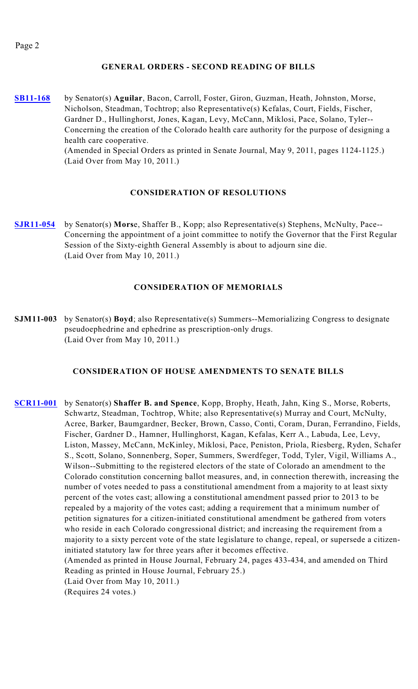## **GENERAL ORDERS - SECOND READING OF BILLS**

**[SB11-168](http://www.leg.state.co.us/CLICS/CLICS2011A/csl.nsf/fsbillcont3/A67A8CD07F0D54CF87257816005835B9?Open&file=168_01.pdf)** by Senator(s) **Aguilar**, Bacon, Carroll, Foster, Giron, Guzman, Heath, Johnston, Morse, Nicholson, Steadman, Tochtrop; also Representative(s) Kefalas, Court, Fields, Fischer, Gardner D., Hullinghorst, Jones, Kagan, Levy, McCann, Miklosi, Pace, Solano, Tyler-- Concerning the creation of the Colorado health care authority for the purpose of designing a health care cooperative. (Amended in Special Orders as printed in Senate Journal, May 9, 2011, pages 1124-1125.) (Laid Over from May 10, 2011.)

# **CONSIDERATION OF RESOLUTIONS**

**[SJR11-054](http://www.leg.state.co.us/CLICS/CLICS2011A/csl.nsf/fsbillcont3/1520643FD0BA39AD872578810050DFFF?Open&file=SJR054_01.pdf)** by Senator(s) **Mors**e, Shaffer B., Kopp; also Representative(s) Stephens, McNulty, Pace-- Concerning the appointment of a joint committee to notify the Governor that the First Regular Session of the Sixty-eighth General Assembly is about to adjourn sine die. (Laid Over from May 10, 2011.)

## **CONSIDERATION OF MEMORIALS**

**SJM11-003** by Senator(s) **Boyd**; also Representative(s) Summers--Memorializing Congress to designate pseudoephedrine and ephedrine as prescription-only drugs. (Laid Over from May 10, 2011.)

#### **CONSIDERATION OF HOUSE AMENDMENTS TO SENATE BILLS**

**[SCR11-001](http://www.leg.state.co.us/CLICS/CLICS2011A/csl.nsf/fsbillcont3/65B390DB5A87F561872578080080066D?Open&file=SCR001_rer.pdf)** by Senator(s) **Shaffer B. and Spence**, Kopp, Brophy, Heath, Jahn, King S., Morse, Roberts, Schwartz, Steadman, Tochtrop, White; also Representative(s) Murray and Court, McNulty, Acree, Barker, Baumgardner, Becker, Brown, Casso, Conti, Coram, Duran, Ferrandino, Fields, Fischer, Gardner D., Hamner, Hullinghorst, Kagan, Kefalas, Kerr A., Labuda, Lee, Levy, Liston, Massey, McCann, McKinley, Miklosi, Pace, Peniston, Priola, Riesberg, Ryden, Schafer S., Scott, Solano, Sonnenberg, Soper, Summers, Swerdfeger, Todd, Tyler, Vigil, Williams A., Wilson--Submitting to the registered electors of the state of Colorado an amendment to the Colorado constitution concerning ballot measures, and, in connection therewith, increasing the number of votes needed to pass a constitutional amendment from a majority to at least sixty percent of the votes cast; allowing a constitutional amendment passed prior to 2013 to be repealed by a majority of the votes cast; adding a requirement that a minimum number of petition signatures for a citizen-initiated constitutional amendment be gathered from voters who reside in each Colorado congressional district; and increasing the requirement from a majority to a sixty percent vote of the state legislature to change, repeal, or supersede a citizeninitiated statutory law for three years after it becomes effective. (Amended as printed in House Journal, February 24, pages 433-434, and amended on Third Reading as printed in House Journal, February 25.) (Laid Over from May 10, 2011.) (Requires 24 votes.)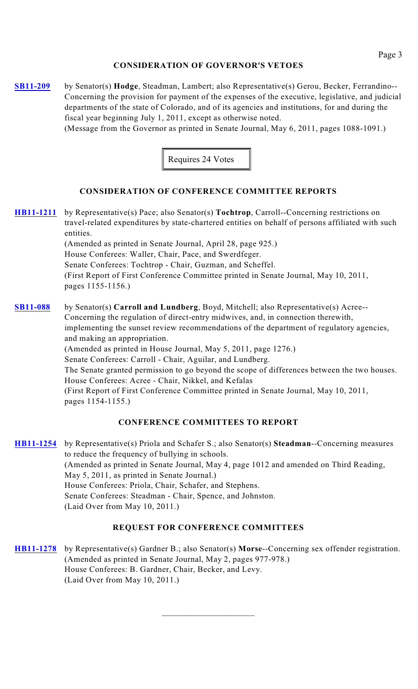## **CONSIDERATION OF GOVERNOR'S VETOES**

**[SB11-209](http://www.leg.state.co.us/CLICS/CLICS2011A/csl.nsf/fsbillcont3/95F7DE89134B3138872578640054B60B?Open&file=)** by Senator(s) **Hodge**, Steadman, Lambert; also Representative(s) Gerou, Becker, Ferrandino-- Concerning the provision for payment of the expenses of the executive, legislative, and judicial departments of the state of Colorado, and of its agencies and institutions, for and during the fiscal year beginning July 1, 2011, except as otherwise noted.

(Message from the Governor as printed in Senate Journal, May 6, 2011, pages 1088-1091.)



# **CONSIDERATION OF CONFERENCE COMMITTEE REPORTS**

**[HB11-1211](http://www.leg.state.co.us/CLICS/CLICS2011A/csl.nsf/fsbillcont3/D0455DA4526FCDBB872578160059B53E?Open&file=1211_rer.pdf)** by Representative(s) Pace; also Senator(s) **Tochtrop**, Carroll--Concerning restrictions on travel-related expenditures by state-chartered entities on behalf of persons affiliated with such entities. (Amended as printed in Senate Journal, April 28, page 925.) House Conferees: Waller, Chair, Pace, and Swerdfeger. Senate Conferees: Tochtrop - Chair, Guzman, and Scheffel.

(First Report of First Conference Committee printed in Senate Journal, May 10, 2011, pages 1155-1156.)

**[SB11-088](http://www.leg.state.co.us/CLICS/CLICS2011A/csl.nsf/fsbillcont3/5E6DEAC6474B92E58725781E0002152E?Open&file=088_rer.pdf)** by Senator(s) **Carroll and Lundberg**, Boyd, Mitchell; also Representative(s) Acree-- Concerning the regulation of direct-entry midwives, and, in connection therewith, implementing the sunset review recommendations of the department of regulatory agencies, and making an appropriation. (Amended as printed in House Journal, May 5, 2011, page 1276.) Senate Conferees: Carroll - Chair, Aguilar, and Lundberg. The Senate granted permission to go beyond the scope of differences between the two houses. House Conferees: Acree - Chair, Nikkel, and Kefalas (First Report of First Conference Committee printed in Senate Journal, May 10, 2011, pages 1154-1155.)

#### **CONFERENCE COMMITTEES TO REPORT**

**[HB11-1254](http://www.leg.state.co.us/CLICS/CLICS2011A/csl.nsf/fsbillcont3/C41FA88143FD6AE687257801006047CF?Open&file=1254_rer.pdf)** by Representative(s) Priola and Schafer S.; also Senator(s) **Steadman**--Concerning measures to reduce the frequency of bullying in schools. (Amended as printed in Senate Journal, May 4, page 1012 and amended on Third Reading, May 5, 2011, as printed in Senate Journal.) House Conferees: Priola, Chair, Schafer, and Stephens. Senate Conferees: Steadman - Chair, Spence, and Johnston. (Laid Over from May 10, 2011.)

#### **REQUEST FOR CONFERENCE COMMITTEES**

**[HB11-1278](http://www.leg.state.co.us/CLICS/CLICS2011A/csl.nsf/fsbillcont3/33F149948D91CD908725782600582A72?Open&file=1278_rer.pdf)** by Representative(s) Gardner B.; also Senator(s) **Morse**--Concerning sex offender registration. (Amended as printed in Senate Journal, May 2, pages 977-978.) House Conferees: B. Gardner, Chair, Becker, and Levy. (Laid Over from May 10, 2011.)

\_\_\_\_\_\_\_\_\_\_\_\_\_\_\_\_\_\_\_\_\_